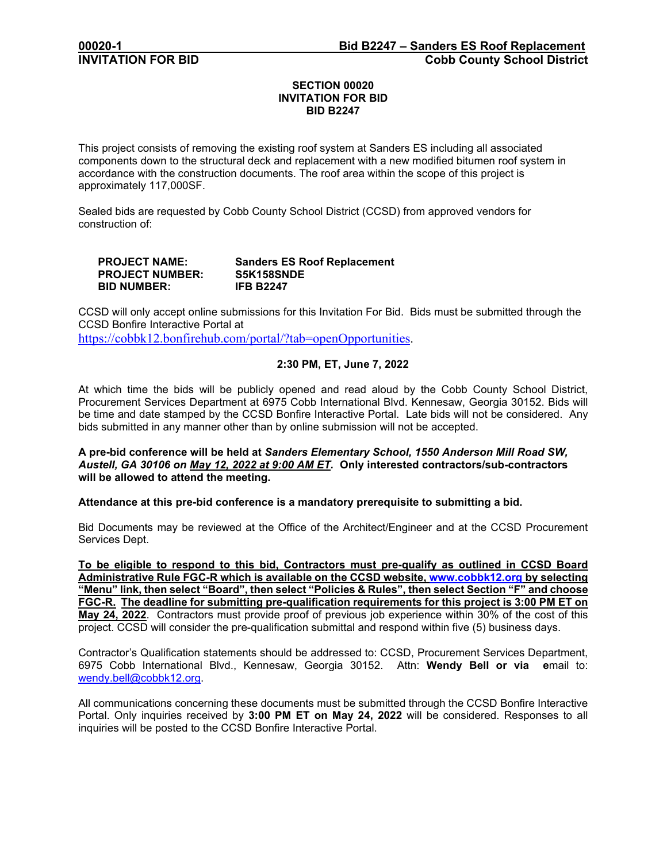# **SECTION 00020 INVITATION FOR BID BID B2247**

This project consists of removing the existing roof system at Sanders ES including all associated components down to the structural deck and replacement with a new modified bitumen roof system in accordance with the construction documents. The roof area within the scope of this project is approximately 117,000SF.

Sealed bids are requested by Cobb County School District (CCSD) from approved vendors for construction of:

| <b>PROJECT NAME:</b>   | <b>Sanders ES Roof Replacement</b> |
|------------------------|------------------------------------|
| <b>PROJECT NUMBER:</b> | S5K158SNDE                         |
| <b>BID NUMBER:</b>     | <b>IFB B2247</b>                   |

CCSD will only accept online submissions for this Invitation For Bid. Bids must be submitted through the CCSD Bonfire Interactive Portal at

[https://cobbk12.bonfirehub.com/portal/?tab=openOpportunities.](https://cobbk12.bonfirehub.com/portal/?tab=openOpportunities)

# **2:30 PM, ET, June 7, 2022**

At which time the bids will be publicly opened and read aloud by the Cobb County School District, Procurement Services Department at 6975 Cobb International Blvd. Kennesaw, Georgia 30152. Bids will be time and date stamped by the CCSD Bonfire Interactive Portal. Late bids will not be considered. Any bids submitted in any manner other than by online submission will not be accepted.

### **A pre-bid conference will be held at** *Sanders Elementary School, 1550 Anderson Mill Road SW, Austell, GA 30106 on May 12, 2022 at 9:00 AM ET.* **Only interested contractors/sub-contractors will be allowed to attend the meeting.**

#### **Attendance at this pre-bid conference is a mandatory prerequisite to submitting a bid.**

Bid Documents may be reviewed at the Office of the Architect/Engineer and at the CCSD Procurement Services Dept.

**To be eligible to respond to this bid, Contractors must pre-qualify as outlined in CCSD Board Administrative Rule FGC-R which is available on the CCSD website, [www.cobbk12.org](http://www.cobbk12.org/) by selecting "Menu" link, then select "Board", then select "Policies & Rules", then select Section "F" and choose FGC-R. The deadline for submitting pre-qualification requirements for this project is 3:00 PM ET on May 24, 2022**. Contractors must provide proof of previous job experience within 30% of the cost of this project. CCSD will consider the pre-qualification submittal and respond within five (5) business days.

Contractor's Qualification statements should be addressed to: CCSD, Procurement Services Department, 6975 Cobb International Blvd., Kennesaw, Georgia 30152. Attn: **Wendy Bell or via e**mail to: [wendy.bell@cobbk12.org.](mailto:wendy.bell@cobbk12.org)

All communications concerning these documents must be submitted through the CCSD Bonfire Interactive Portal. Only inquiries received by **3:00 PM ET on May 24, 2022** will be considered. Responses to all inquiries will be posted to the CCSD Bonfire Interactive Portal.